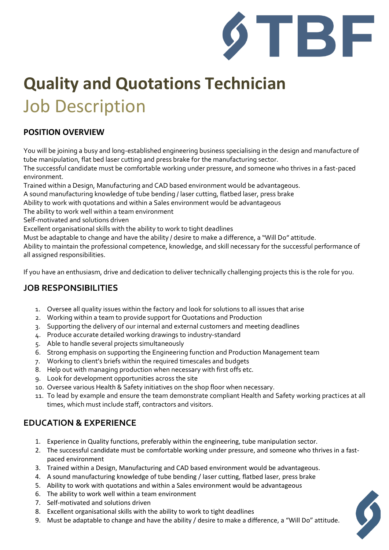

# **Quality and Quotations Technician** Job Description

#### **POSITION OVERVIEW**

You will be joining a busy and long-established engineering business specialising in the design and manufacture of tube manipulation, flat bed laser cutting and press brake for the manufacturing sector.

The successful candidate must be comfortable working under pressure, and someone who thrives in a fast-paced environment.

Trained within a Design, Manufacturing and CAD based environment would be advantageous.

A sound manufacturing knowledge of tube bending / laser cutting, flatbed laser, press brake

Ability to work with quotations and within a Sales environment would be advantageous

The ability to work well within a team environment

Self-motivated and solutions driven

Excellent organisational skills with the ability to work to tight deadlines

Must be adaptable to change and have the ability / desire to make a difference, a "Will Do" attitude.

Ability to maintain the professional competence, knowledge, and skill necessary for the successful performance of all assigned responsibilities.

If you have an enthusiasm, drive and dedication to deliver technically challenging projects this is the role for you.

#### **JOB RESPONSIBILITIES**

- 1. Oversee all quality issues within the factory and look for solutions to all issues that arise
- 2. Working within a team to provide support for Quotations and Production
- 3. Supporting the delivery of our internal and external customers and meeting deadlines
- 4. Produce accurate detailed working drawings to industry-standard
- 5. Able to handle several projects simultaneously
- 6. Strong emphasis on supporting the Engineering function and Production Management team
- 7. Working to client's briefs within the required timescales and budgets
- 8. Help out with managing production when necessary with first offs etc.
- 9. Look for development opportunities across the site
- 10. Oversee various Health & Safety initiatives on the shop floor when necessary.
- 11. To lead by example and ensure the team demonstrate compliant Health and Safety working practices at all times, which must include staff, contractors and visitors.

#### **EDUCATION & EXPERIENCE**

- 1. Experience in Quality functions, preferably within the engineering, tube manipulation sector.
- 2. The successful candidate must be comfortable working under pressure, and someone who thrives in a fastpaced environment
- 3. Trained within a Design, Manufacturing and CAD based environment would be advantageous.
- 4. A sound manufacturing knowledge of tube bending / laser cutting, flatbed laser, press brake
- 5. Ability to work with quotations and within a Sales environment would be advantageous
- 6. The ability to work well within a team environment
- 7. Self-motivated and solutions driven
- 8. Excellent organisational skills with the ability to work to tight deadlines
- 9. Must be adaptable to change and have the ability / desire to make a difference, a "Will Do" attitude.